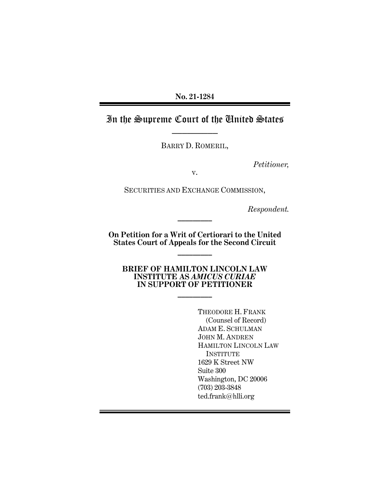## **No. 21-1284**

# In the Supreme Court of the United States

BARRY D. ROMERIL,

*Petitioner,*

v.

SECURITIES AND EXCHANGE COMMISSION,

*Respondent.*

**On Petition for a Writ of Certiorari to the United States Court of Appeals for the Second Circuit** 

**\_\_\_\_\_\_\_\_\_**

**\_\_\_\_\_\_\_\_\_**

**BRIEF OF HAMILTON LINCOLN LAW INSTITUTE AS** *AMICUS CURIAE* **IN SUPPORT OF PETITIONER**

**\_\_\_\_\_\_\_\_\_**

THEODORE H. FRANK (Counsel of Record) ADAM E. SCHULMAN JOHN M. ANDREN HAMILTON LINCOLN LAW INSTITUTE 1629 K Street NW Suite 300 Washington, DC 20006 (703) 203-3848 ted.frank@hlli.org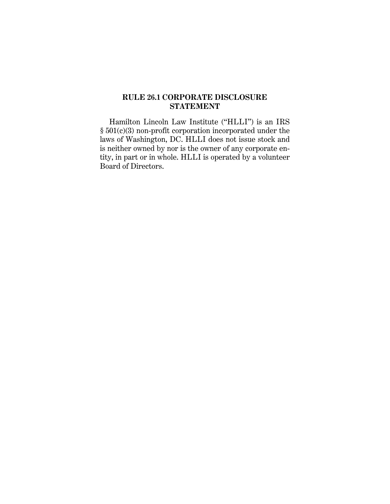## **RULE 26.1 CORPORATE DISCLOSURE STATEMENT**

Hamilton Lincoln Law Institute ("HLLI") is an IRS § 501(c)(3) non-profit corporation incorporated under the laws of Washington, DC. HLLI does not issue stock and is neither owned by nor is the owner of any corporate entity, in part or in whole. HLLI is operated by a volunteer Board of Directors.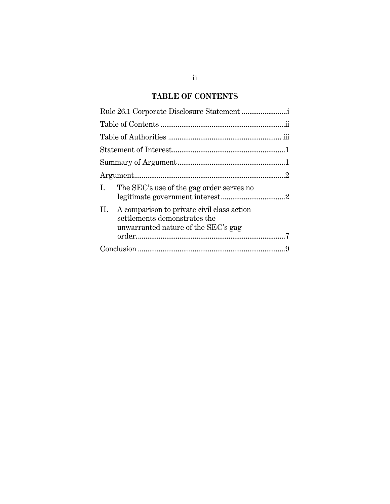## **TABLE OF CONTENTS**

| Rule 26.1 Corporate Disclosure Statement                                                                                 |
|--------------------------------------------------------------------------------------------------------------------------|
|                                                                                                                          |
|                                                                                                                          |
|                                                                                                                          |
|                                                                                                                          |
|                                                                                                                          |
| I.<br>The SEC's use of the gag order serves no                                                                           |
| A comparison to private civil class action<br>11.<br>settlements demonstrates the<br>unwarranted nature of the SEC's gag |
|                                                                                                                          |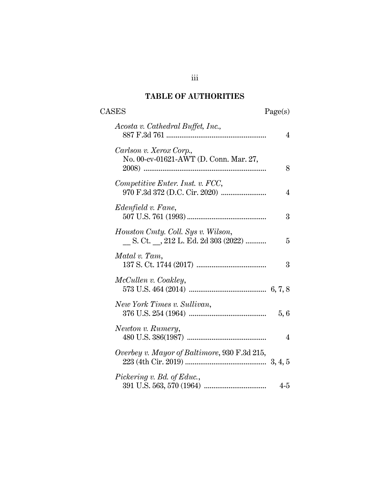## **TABLE OF AUTHORITIES**

| <b>CASES</b>                                                                 | Page(s) |
|------------------------------------------------------------------------------|---------|
| Acosta v. Cathedral Buffet, Inc.,                                            | 4       |
| Carlson v. Xerox Corp.,<br>No. 00-cv-01621-AWT (D. Conn. Mar. 27,            | 8       |
| Competitive Enter. Inst. v. FCC,                                             | 4       |
| Edenfield v. Fane,                                                           | 3       |
| Houston Cmty. Coll. Sys v. Wilson,<br>__ S. Ct. __, 212 L. Ed. 2d 303 (2022) | 5       |
| Matal v. Tam,                                                                | 3       |
| McCullen v. Coakley,                                                         |         |
| New York Times v. Sullivan,                                                  | 5,6     |
| Newton v. Rumery,                                                            | 4       |
| Overbey v. Mayor of Baltimore, 930 F.3d 215,                                 |         |
| Pickering v. Bd. of Educ.,                                                   | $4-5$   |

iii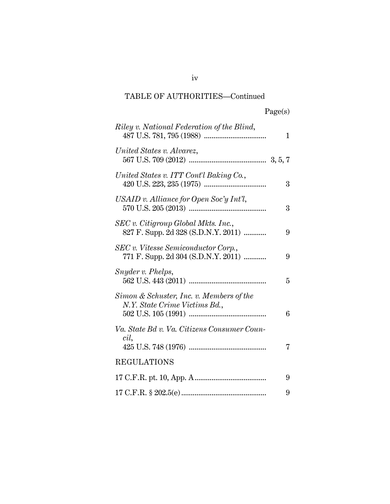# TABLE OF AUTHORITIES—Continued

| Riley v. National Federation of the Blind,                                 | 1 |
|----------------------------------------------------------------------------|---|
| United States v. Alvarez,                                                  |   |
| United States v. ITT Cont'l Baking Co.,                                    | 3 |
| USAID v. Alliance for Open Soc'y Int'l,                                    | 3 |
| SEC v. Citigroup Global Mkts. Inc.,<br>827 F. Supp. 2d 328 (S.D.N.Y. 2011) | 9 |
| SEC v. Vitesse Semiconductor Corp.,<br>771 F. Supp. 2d 304 (S.D.N.Y. 2011) | 9 |
| Snyder v. Phelps,                                                          | 5 |
| Simon & Schuster, Inc. v. Members of the<br>N.Y. State Crime Victims Bd.,  | 6 |
| Va. State Bd v. Va. Citizens Consumer Coun-<br>cil,                        | 7 |
| <b>REGULATIONS</b>                                                         |   |
|                                                                            | 9 |
|                                                                            | 9 |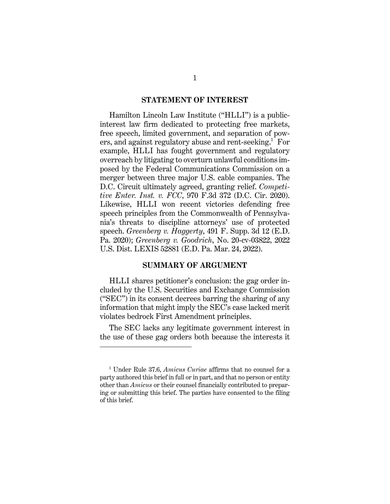#### **STATEMENT OF INTEREST**

Hamilton Lincoln Law Institute ("HLLI") is a publicinterest law firm dedicated to protecting free markets, free speech, limited government, and separation of powers, and against regulatory abuse and rent-seeking. <sup>1</sup> For example, HLLI has fought government and regulatory overreach by litigating to overturn unlawful conditions imposed by the Federal Communications Commission on a merger between three major U.S. cable companies. The D.C. Circuit ultimately agreed, granting relief. *Competitive Enter. Inst. v. FCC*, 970 F.3d 372 (D.C. Cir. 2020). Likewise, HLLI won recent victories defending free speech principles from the Commonwealth of Pennsylvania's threats to discipline attorneys' use of protected speech. *Greenberg v. Haggerty*, 491 F. Supp. 3d 12 (E.D. Pa. 2020); *Greenberg v. Goodrich*, No. 20-cv-03822, 2022 U.S. Dist. LEXIS 52881 (E.D. Pa. Mar. 24, 2022).

#### **SUMMARY OF ARGUMENT**

HLLI shares petitioner's conclusion: the gag order included by the U.S. Securities and Exchange Commission ("SEC") in its consent decrees barring the sharing of any information that might imply the SEC's case lacked merit violates bedrock First Amendment principles.

The SEC lacks any legitimate government interest in the use of these gag orders both because the interests it

<sup>1</sup> Under Rule 37.6, *Amicus Curiae* affirms that no counsel for a party authored this brief in full or in part, and that no person or entity other than *Amicus* or their counsel financially contributed to preparing or submitting this brief. The parties have consented to the filing of this brief.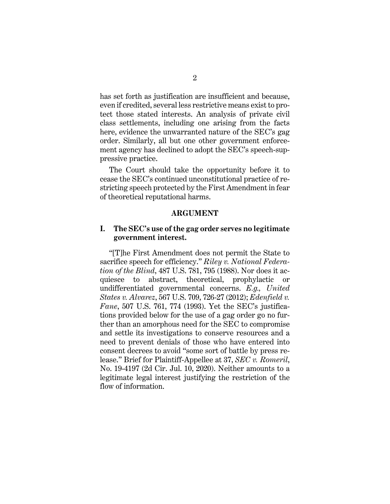has set forth as justification are insufficient and because, even if credited, several less restrictive means exist to protect those stated interests. An analysis of private civil class settlements, including one arising from the facts here, evidence the unwarranted nature of the SEC's gag order. Similarly, all but one other government enforcement agency has declined to adopt the SEC's speech-suppressive practice.

The Court should take the opportunity before it to cease the SEC's continued unconstitutional practice of restricting speech protected by the First Amendment in fear of theoretical reputational harms.

#### **ARGUMENT**

### **I. The SEC's use of the gag order serves no legitimate government interest.**

"[T]he First Amendment does not permit the State to sacrifice speech for efficiency." *Riley v. National Federation of the Blind*, 487 U.S. 781, 795 (1988). Nor does it acquiesce to abstract, theoretical, prophylactic or undifferentiated governmental concerns. *E.g., United States v. Alvarez*, 567 U.S. 709, 726-27 (2012); *Edenfield v. Fane*, 507 U.S. 761, 774 (1993). Yet the SEC's justifications provided below for the use of a gag order go no further than an amorphous need for the SEC to compromise and settle its investigations to conserve resources and a need to prevent denials of those who have entered into consent decrees to avoid "some sort of battle by press release." Brief for Plaintiff-Appellee at 37, *SEC v. Romeril*, No. 19-4197 (2d Cir. Jul. 10, 2020). Neither amounts to a legitimate legal interest justifying the restriction of the flow of information.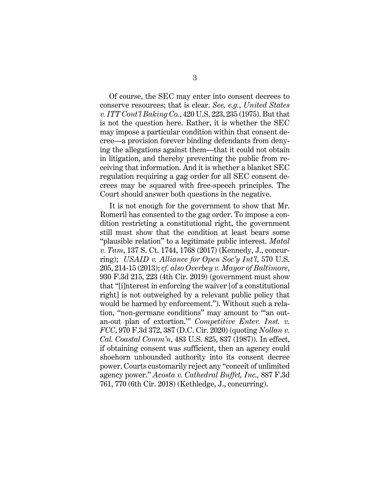Of course, the SEC may enter into consent decrees to conserve resources; that is clear. *See, e.g.*, *United States v. ITT Cont'l Baking Co.*, 420 U.S. 223, 235 (1975). But that is not the question here. Rather, it is whether the SEC may impose a particular condition within that consent decree—a provision forever binding defendants from denying the allegations against them—that it could not obtain in litigation, and thereby preventing the public from receiving that information. And it is whether a blanket SEC regulation requiring a gag order for all SEC consent decrees may be squared with free-speech principles. The Court should answer both questions in the negative.

It is not enough for the government to show that Mr. Romeril has consented to the gag order. To impose a condition restricting a constitutional right, the government still must show that the condition at least bears some "plausible relation" to a legitimate public interest. *Matal v. Tam*, 137 S. Ct. 1744, 1768 (2017) (Kennedy, J., concurring); *USAID v. Alliance for Open Soc'y Int'l*, 570 U.S. 205, 214-15 (2013); *cf. also Overbey v. Mayor of Baltimore*, 930 F.3d 215, 223 (4th Cir. 2019) (government must show that "[i]nterest in enforcing the waiver [of a constitutional right] is not outweighed by a relevant public policy that would be harmed by enforcement."). Without such a relation, "non-germane conditions" may amount to "'an outan-out plan of extortion.'" *Competitive Enter. Inst. v. FCC*, 970 F.3d 372, 387 (D.C. Cir. 2020) (quoting *Nollan v. Cal. Coastal Comm'n*, 483 U.S. 825, 837 (1987)). In effect, if obtaining consent was sufficient, then an agency could shoehorn unbounded authority into its consent decree power. Courts customarily reject any "conceit of unlimited agency power." *Acosta v. Cathedral Buffet, Inc.,* 887 F.3d 761, 770 (6th Cir. 2018) (Kethledge, J., concurring).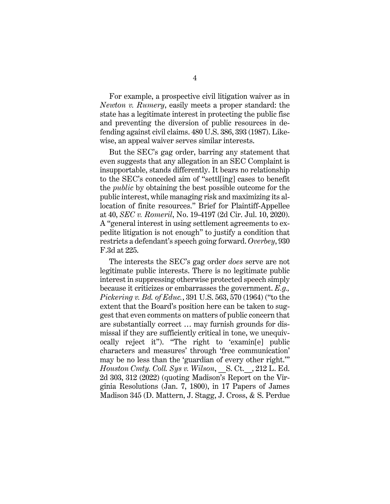For example, a prospective civil litigation waiver as in *Newton v. Rumery*, easily meets a proper standard: the state has a legitimate interest in protecting the public fisc and preventing the diversion of public resources in defending against civil claims. 480 U.S. 386, 393 (1987). Likewise, an appeal waiver serves similar interests.

But the SEC's gag order, barring any statement that even suggests that any allegation in an SEC Complaint is insupportable, stands differently. It bears no relationship to the SEC's conceded aim of "settl[ing] cases to benefit the *public* by obtaining the best possible outcome for the public interest, while managing risk and maximizing its allocation of finite resources." Brief for Plaintiff-Appellee at 40, *SEC v. Romeril*, No. 19-4197 (2d Cir. Jul. 10, 2020). A "general interest in using settlement agreements to expedite litigation is not enough" to justify a condition that restricts a defendant's speech going forward. *Overbey*, 930 F.3d at 225.

The interests the SEC's gag order *does* serve are not legitimate public interests. There is no legitimate public interest in suppressing otherwise protected speech simply because it criticizes or embarrasses the government. *E.g., Pickering v. Bd. of Educ.*, 391 U.S. 563, 570 (1964) ("to the extent that the Board's position here can be taken to suggest that even comments on matters of public concern that are substantially correct … may furnish grounds for dismissal if they are sufficiently critical in tone, we unequivocally reject it"). "The right to 'examin[e] public characters and measures' through 'free communication' may be no less than the 'guardian of every other right.'" *Houston Cmty. Coll. Sys v. Wilson*, \_\_S. Ct.\_\_, 212 L. Ed. 2d 303, 312 (2022) (quoting Madison's Report on the Virginia Resolutions (Jan. 7, 1800), in 17 Papers of James Madison 345 (D. Mattern, J. Stagg, J. Cross, & S. Perdue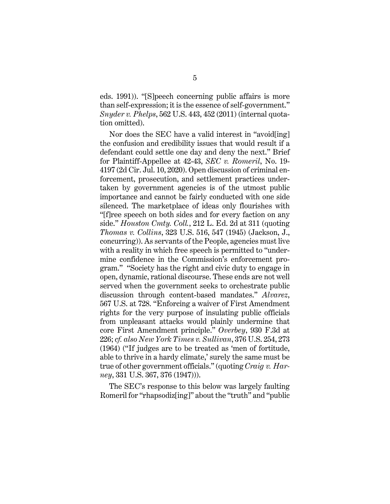eds. 1991)). "[S]peech concerning public affairs is more than self-expression; it is the essence of self-government." *Snyder v. Phelps*, 562 U.S. 443, 452 (2011) (internal quotation omitted).

Nor does the SEC have a valid interest in "avoid[ing] the confusion and credibility issues that would result if a defendant could settle one day and deny the next." Brief for Plaintiff-Appellee at 42-43, *SEC v. Romeril*, No. 19- 4197 (2d Cir. Jul. 10, 2020). Open discussion of criminal enforcement, prosecution, and settlement practices undertaken by government agencies is of the utmost public importance and cannot be fairly conducted with one side silenced. The marketplace of ideas only flourishes with "[f]ree speech on both sides and for every faction on any side." *Houston Cmty. Coll.*, 212 L. Ed. 2d at 311 (quoting *Thomas v. Collins*, 323 U.S. 516, 547 (1945) (Jackson, J., concurring)). As servants of the People, agencies must live with a reality in which free speech is permitted to "undermine confidence in the Commission's enforcement program." "Society has the right and civic duty to engage in open, dynamic, rational discourse. These ends are not well served when the government seeks to orchestrate public discussion through content-based mandates." *Alvarez*, 567 U.S. at 728. "Enforcing a waiver of First Amendment rights for the very purpose of insulating public officials from unpleasant attacks would plainly undermine that core First Amendment principle." *Overbey*, 930 F.3d at 226; *cf. also New York Times v. Sullivan*, 376 U.S. 254, 273 (1964) ("If judges are to be treated as 'men of fortitude, able to thrive in a hardy climate,' surely the same must be true of other government officials." (quoting *Craig v. Harney*, 331 U.S. 367, 376 (1947))).

The SEC's response to this below was largely faulting Romeril for "rhapsodiz[ing]" about the "truth" and "public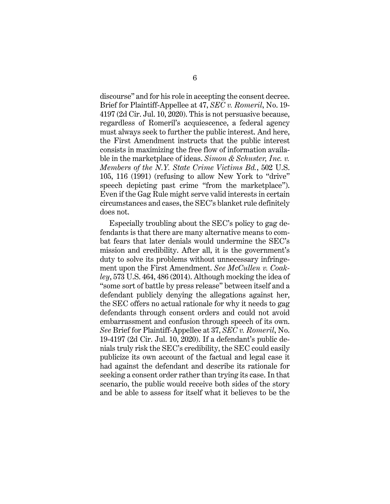discourse" and for his role in accepting the consent decree. Brief for Plaintiff-Appellee at 47, *SEC v. Romeril*, No. 19- 4197 (2d Cir. Jul. 10, 2020). This is not persuasive because, regardless of Romeril's acquiescence, a federal agency must always seek to further the public interest. And here, the First Amendment instructs that the public interest consists in maximizing the free flow of information available in the marketplace of ideas. *Simon & Schuster, Inc. v. Members of the N.Y. State Crime Victims Bd.*, 502 U.S. 105, 116 (1991) (refusing to allow New York to "drive" speech depicting past crime "from the marketplace"). Even if the Gag Rule might serve valid interests in certain circumstances and cases, the SEC's blanket rule definitely does not.

Especially troubling about the SEC's policy to gag defendants is that there are many alternative means to combat fears that later denials would undermine the SEC's mission and credibility. After all, it is the government's duty to solve its problems without unnecessary infringement upon the First Amendment. *See McCullen v. Coakley*, 573 U.S. 464, 486 (2014). Although mocking the idea of "some sort of battle by press release" between itself and a defendant publicly denying the allegations against her, the SEC offers no actual rationale for why it needs to gag defendants through consent orders and could not avoid embarrassment and confusion through speech of its own. *See* Brief for Plaintiff-Appellee at 37, *SEC v. Romeril*, No. 19-4197 (2d Cir. Jul. 10, 2020). If a defendant's public denials truly risk the SEC's credibility, the SEC could easily publicize its own account of the factual and legal case it had against the defendant and describe its rationale for seeking a consent order rather than trying its case. In that scenario, the public would receive both sides of the story and be able to assess for itself what it believes to be the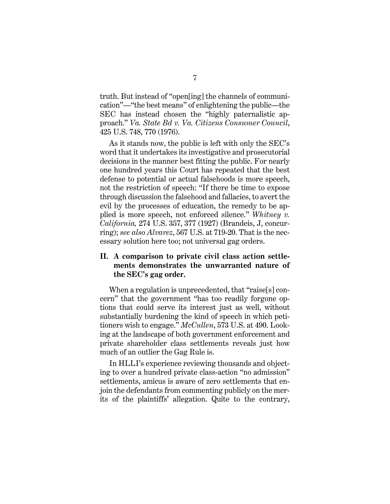truth. But instead of "open[ing] the channels of communication"—"the best means" of enlightening the public—the SEC has instead chosen the "highly paternalistic approach." *Va. State Bd v. Va. Citizens Consumer Council*, 425 U.S. 748, 770 (1976).

As it stands now, the public is left with only the SEC's word that it undertakes its investigative and prosecutorial decisions in the manner best fitting the public. For nearly one hundred years this Court has repeated that the best defense to potential or actual falsehoods is more speech, not the restriction of speech: "If there be time to expose through discussion the falsehood and fallacies, to avert the evil by the processes of education, the remedy to be applied is more speech, not enforced silence." *Whitney v. California,* 274 U.S. 357, 377 (1927) (Brandeis, J, concurring); *see also Alvarez*, 567 U.S. at 719-20. That is the necessary solution here too; not universal gag orders.

## **II. A comparison to private civil class action settlements demonstrates the unwarranted nature of the SEC's gag order.**

When a regulation is unprecedented, that "raise[s] concern" that the government "has too readily forgone options that could serve its interest just as well, without substantially burdening the kind of speech in which petitioners wish to engage." *McCullen*, 573 U.S. at 490. Looking at the landscape of both government enforcement and private shareholder class settlements reveals just how much of an outlier the Gag Rule is.

In HLLI's experience reviewing thousands and objecting to over a hundred private class-action "no admission" settlements, amicus is aware of zero settlements that enjoin the defendants from commenting publicly on the merits of the plaintiffs' allegation. Quite to the contrary,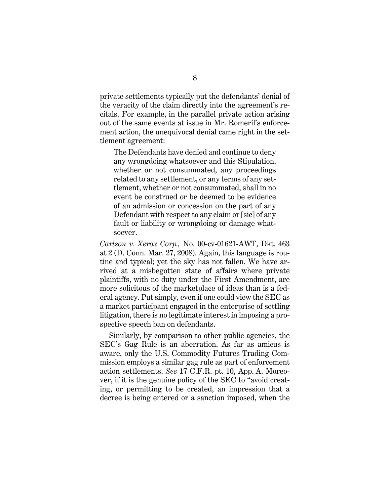private settlements typically put the defendants' denial of the veracity of the claim directly into the agreement's recitals. For example, in the parallel private action arising out of the same events at issue in Mr. Romeril's enforcement action, the unequivocal denial came right in the settlement agreement:

The Defendants have denied and continue to deny any wrongdoing whatsoever and this Stipulation, whether or not consummated, any proceedings related to any settlement, or any terms of any settlement, whether or not consummated, shall in no event be construed or be deemed to be evidence of an admission or concession on the part of any Defendant with respect to any claim or [sic] of any fault or liability or wrongdoing or damage whatsoever.

*Carlson v. Xerox Corp.,* No. 00-cv-01621-AWT, Dkt. 463 at 2 (D. Conn. Mar. 27, 2008). Again, this language is routine and typical; yet the sky has not fallen. We have arrived at a misbegotten state of affairs where private plaintiffs, with no duty under the First Amendment, are more solicitous of the marketplace of ideas than is a federal agency. Put simply, even if one could view the SEC as a market participant engaged in the enterprise of settling litigation, there is no legitimate interest in imposing a prospective speech ban on defendants.

Similarly, by comparison to other public agencies, the SEC's Gag Rule is an aberration. As far as amicus is aware, only the U.S. Commodity Futures Trading Commission employs a similar gag rule as part of enforcement action settlements. *See* 17 C.F.R. pt. 10, App. A. Moreover, if it is the genuine policy of the SEC to "avoid creating, or permitting to be created, an impression that a decree is being entered or a sanction imposed, when the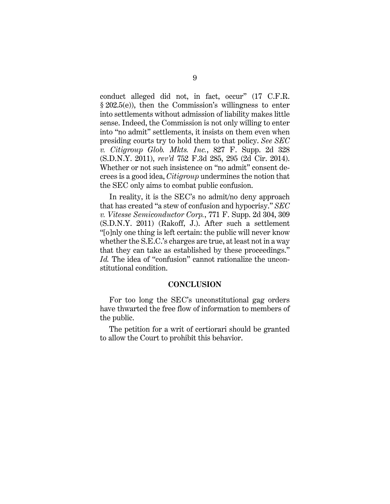conduct alleged did not, in fact, occur" (17 C.F.R. § 202.5(e)), then the Commission's willingness to enter into settlements without admission of liability makes little sense. Indeed, the Commission is not only willing to enter into "no admit" settlements, it insists on them even when presiding courts try to hold them to that policy. *See SEC v. Citigroup Glob. Mkts. Inc.*, 827 F. Supp. 2d 328 (S.D.N.Y. 2011), *rev'd* 752 F.3d 285, 295 (2d Cir. 2014). Whether or not such insistence on "no admit" consent decrees is a good idea, *Citigroup* undermines the notion that the SEC only aims to combat public confusion.

In reality, it is the SEC's no admit/no deny approach that has created "a stew of confusion and hypocrisy." *SEC v. Vitesse Semiconductor Corp.*, 771 F. Supp. 2d 304, 309 (S.D.N.Y. 2011) (Rakoff, J.). After such a settlement "[o]nly one thing is left certain: the public will never know whether the S.E.C.'s charges are true, at least not in a way that they can take as established by these proceedings." *Id.* The idea of "confusion" cannot rationalize the unconstitutional condition.

#### **CONCLUSION**

For too long the SEC's unconstitutional gag orders have thwarted the free flow of information to members of the public.

The petition for a writ of certiorari should be granted to allow the Court to prohibit this behavior.